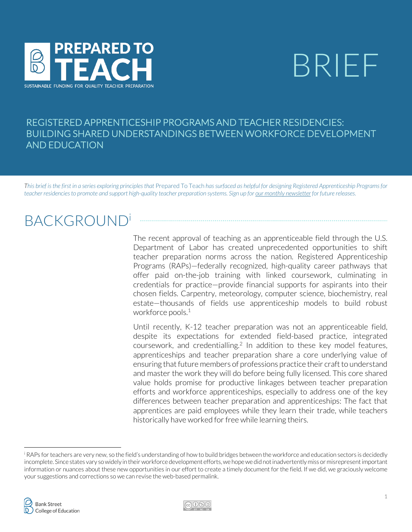

# BRIEF

### ' BUILDING SHARED UNDERSTANDINGS BETWEEN WORKFORCE DEVELOPMENT REGISTERED APPRENTICESHIP PROGRAMS AND TEACHER RESIDENCIES: AND EDUCATION

*This brief is the first in a series exploring principles that* Prepared To Teach *has surfaced as helpful for designing Registered Apprenticeship Programs for teacher residenciesto promote and support high-quality teacher preparation systems. Sign up for [our monthly newsletter](https://bankstreet.us12.list-manage.com/subscribe?u=1b5dbac79dc988c97fc8b59a8&id=a94c4cf6ec) for future releases.*

## **BACKGROUND**

The recent approval of teaching as an apprenticeable field through the U.S. Department of Labor has created unprecedented opportunities to shift teacher preparation norms across the nation. Registered Apprenticeship Programs (RAPs)—federally recognized, high-quality career pathways that offer paid on-the-job training with linked coursework, culminating in credentials for practice—provide financial supports for aspirants into their chosen fields. Carpentry, meteorology, computer science, biochemistry, real estate—thousands of fields use apprenticeship models to build robust workforce pools. 1

Until recently, K-12 teacher preparation was not an apprenticeable field, despite its expectations for extended field-based practice, integrated coursework, and credentialling.2 In addition to these key model features, apprenticeships and teacher preparation share a core underlying value of ensuring that future members of professions practice their craft to understand and master the work they will do before being fully licensed. This core shared value holds promise for productive linkages between teacher preparation efforts and workforce apprenticeships, especially to address one of the key differences between teacher preparation and apprenticeships: The fact that apprentices are paid employees while they learn their trade, while teachers historically have worked for free while learning theirs.



i RAPs for teachers are very new, so the field's understanding of how to build bridges between the workforce and education sectors is decidedly incomplete. Since states vary so widely in their workforce development efforts, we hope we did not inadvertently miss or misrepresent important information or nuances about these new opportunities in our effort to create a timely document for the field. If we did, we graciously welcome your suggestions and corrections so we can revise the web-based permalink.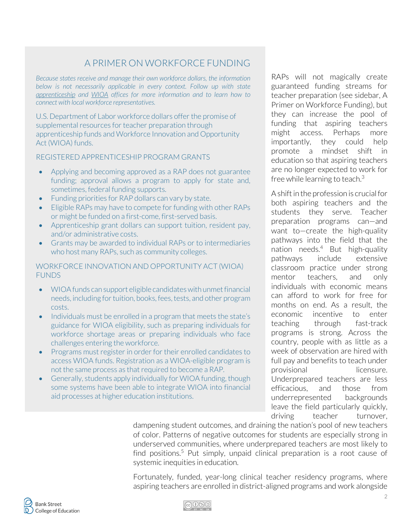## A PRIMER ON WORKFORCE FUNDING

*Because states receive and manage their own workforce dollars, the information below is not necessarily applicable in every context. Follow up with state apprenticeship and WIOA offices for more information and to learn how to connect with local workforce representatives.*

U.S. Department of Labor workforce dollars offer the promise of supplemental resources for teacher preparation through apprenticeship funds and Workforce Innovation and Opportunity Act (WIOA) funds.

REGISTERED APPRENTICESHIP PROGRAM GRANTS

- Applying and becoming approved as a RAP does not guarantee funding; approval allows a program to apply for state and, sometimes, federal funding supports.
- Funding priorities for RAP dollars can vary by state.
- Eligible RAPs may have to compete for funding with other RAPs or might be funded on a first-come, first-served basis.
- Apprenticeship grant dollars can support tuition, resident pay, and/or administrative costs.
- Grants may be awarded to individual RAPs or to intermediaries who host many RAPs, such as community colleges.

WORKFORCE INNOVATION AND OPPORTUNITY ACT (WIOA) FUNDS

- WIOA funds can support eligible candidates with unmet financial needs, including for tuition, books, fees, tests, and other program costs.
- Individuals must be enrolled in a program that meets the state's guidance for WIOA eligibility, such as preparing individuals for workforce shortage areas or preparing individuals who face challenges entering the workforce.
- Programs must register in order for their enrolled candidates to access WIOA funds. Registration as a WIOA-eligible program is not the same process as that required to become a RAP.
- Generally, students apply individually for WIOA funding, though some systems have been able to integrate WIOA into financial aid processes at higher education institutions.

RAPs will not magically create guaranteed funding streams for teacher preparation (see sidebar, A Primer on Workforce Funding), but they can increase the pool of funding that aspiring teachers might access. Perhaps more importantly, they could help promote a mindset shift in education so that aspiring teachers are no longer expected to work for free while learning to teach. 3

A shift in the profession is crucial for both aspiring teachers and the students they serve. Teacher preparation programs can—and want to—create the high-quality pathways into the field that the nation needs. $4$  But high-quality pathways include extensive classroom practice under strong mentor teachers, and only individuals with economic means can afford to work for free for months on end. As a result, the economic incentive to enter teaching through fast-track programs is strong. Across the country, people with as little as a week of observation are hired with full pay and benefits to teach under provisional licensure. Underprepared teachers are less efficacious, and those from underrepresented backgrounds leave the field particularly quickly, driving teacher turnover,

dampening student outcomes, and draining the nation's pool of new teachers of color. Patterns of negative outcomes for students are especially strong in underserved communities, where underprepared teachers are most likely to find positions.<sup>5</sup> Put simply, unpaid clinical preparation is a root cause of systemic inequities in education.

Fortunately, funded, year-long clinical teacher residency programs, where aspiring teachers are enrolled in district-aligned programs and work alongside

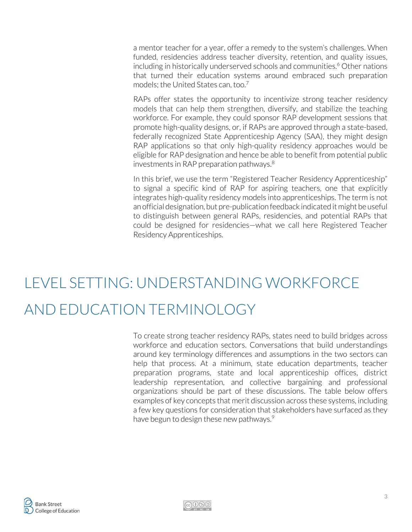a mentor teacher for a year, offer a remedy to the system's challenges. When funded, residencies address teacher diversity, retention, and quality issues, including in historically underserved schools and communities.<sup>6</sup> Other nations that turned their education systems around embraced such preparation models; the United States can, too.<sup>7</sup>

RAPs offer states the opportunity to incentivize strong teacher residency models that can help them strengthen, diversify, and stabilize the teaching workforce. For example, they could sponsor RAP development sessions that promote high-quality designs, or, if RAPs are approved through a state-based, federally recognized State Apprenticeship Agency (SAA), they might design RAP applications so that only high-quality residency approaches would be eligible for RAP designation and hence be able to benefit from potential public investments in RAP preparation pathways. 8

In this brief, we use the term "Registered Teacher Residency Apprenticeship" to signal a specific kind of RAP for aspiring teachers, one that explicitly integrates high-quality residency models into apprenticeships. The term is not an official designation, but pre-publication feedback indicated it might be useful to distinguish between general RAPs, residencies, and potential RAPs that could be designed for residencies—what we call here Registered Teacher Residency Apprenticeships.

## LEVEL SETTING: UNDERSTANDING WORKFORCE AND EDUCATION TERMINOLOGY

To create strong teacher residency RAPs, states need to build bridges across workforce and education sectors. Conversations that build understandings around key terminology differences and assumptions in the two sectors can help that process. At a minimum, state education departments, teacher preparation programs, state and local apprenticeship offices, district leadership representation, and collective bargaining and professional organizations should be part of these discussions. The table below offers examples of key concepts that merit discussion across these systems, including a few key questions for consideration that stakeholders have surfaced as they have begun to design these new pathways. $\degree$ 



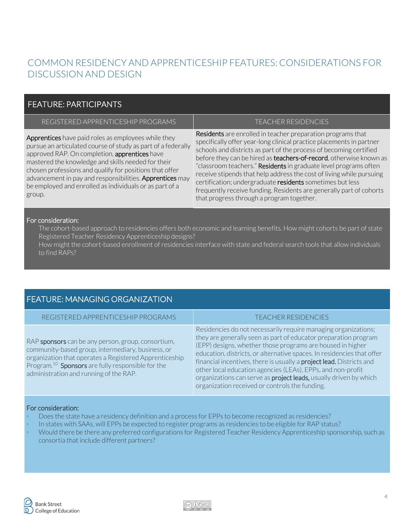## COMMON RESIDENCY AND APPRENTICESHIP FEATURES: CONSIDERATIONS FOR DISCUSSION AND DESIGN

#### FEATURE: PARTICIPANTS

| REGISTERED APPRENTICESHIP PROGRAMS                                                                                                                                                                                                                                                                                                                                                                                     | <b>TEACHER RESIDENCIES</b>                                                                                                                                                                                                                                                                                                                                                                                                                                                                                                                                                                                   |
|------------------------------------------------------------------------------------------------------------------------------------------------------------------------------------------------------------------------------------------------------------------------------------------------------------------------------------------------------------------------------------------------------------------------|--------------------------------------------------------------------------------------------------------------------------------------------------------------------------------------------------------------------------------------------------------------------------------------------------------------------------------------------------------------------------------------------------------------------------------------------------------------------------------------------------------------------------------------------------------------------------------------------------------------|
| Apprentices have paid roles as employees while they<br>pursue an articulated course of study as part of a federally<br>approved RAP. On completion, apprentices have<br>mastered the knowledge and skills needed for their<br>chosen professions and qualify for positions that offer<br>advancement in pay and responsibilities. Apprentices may<br>be employed and enrolled as individuals or as part of a<br>group. | Residents are enrolled in teacher preparation programs that<br>specifically offer year-long clinical practice placements in partner<br>schools and districts as part of the process of becoming certified<br>before they can be hired as teachers-of-record, otherwise known as<br>"classroom teachers." Residents in graduate level programs often<br>receive stipends that help address the cost of living while pursuing<br>certification; undergraduate residents sometimes but less<br>frequently receive funding. Residents are generally part of cohorts<br>that progress through a program together. |

#### For consideration:

- The cohort-based approach to residencies offers both economic and learning benefits. How might cohorts be part of state Registered Teacher Residency Apprenticeship designs?
- How might the cohort-based enrollment of residencies interface with state and federal search tools that allow individuals to find RAPs?

#### FEATURE: MANAGING ORGANIZATION

| REGISTERED APPRENTICESHIP PROGRAMS                                                                                                                                                                                                                                           | <b>TEACHER RESIDENCIES</b>                                                                                                                                                                                                                                                                                                                                                                                                                                                                                                                             |
|------------------------------------------------------------------------------------------------------------------------------------------------------------------------------------------------------------------------------------------------------------------------------|--------------------------------------------------------------------------------------------------------------------------------------------------------------------------------------------------------------------------------------------------------------------------------------------------------------------------------------------------------------------------------------------------------------------------------------------------------------------------------------------------------------------------------------------------------|
| RAP sponsors can be any person, group, consortium,<br>community-based group, intermediary, business, or<br>organization that operates a Registered Apprenticeship<br>Program. <sup>10</sup> Sponsors are fully responsible for the<br>administration and running of the RAP. | Residencies do not necessarily require managing organizations;<br>they are generally seen as part of educator preparation program<br>(EPP) designs, whether those programs are housed in higher<br>education, districts, or alternative spaces. In residencies that offer<br>financial incentives, there is usually a <b>project lead.</b> Districts and<br>other local education agencies (LEAs), EPPs, and non-profit<br>organizations can serve as <b>project leads</b> , usually driven by which<br>organization received or controls the funding. |

#### For consideration:

- Does the state have a residency definition and a process for EPPs to become recognized as residencies?
- In states with SAAs, will EPPs be expected to register programs as residencies to be eligible for RAP status?
- Would there be there any preferred configurations for Registered Teacher Residency Apprenticeship sponsorship, such as consortia that include different partners?



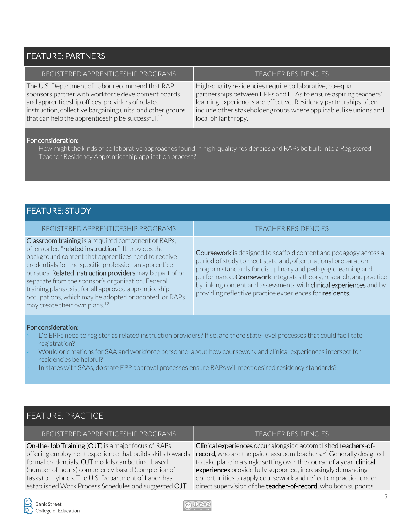#### FEATURE: PARTNERS

| REGISTERED APPRENTICESHIP PROGRAMS                            | <b>TEACHER RESIDENCIES</b>                                         |
|---------------------------------------------------------------|--------------------------------------------------------------------|
| The U.S. Department of Labor recommend that RAP               | High-quality residencies require collaborative, co-equal           |
| sponsors partner with workforce development boards            | partnerships between EPPs and LEAs to ensure aspiring teachers'    |
| and apprenticeship offices, providers of related              | learning experiences are effective. Residency partnerships often   |
| instruction, collective bargaining units, and other groups    | include other stakeholder groups where applicable, like unions and |
| that can help the apprenticeship be successful. <sup>11</sup> | local philanthropy.                                                |

#### For consideration:

▫ How might the kinds of collaborative approaches found in high-quality residencies and RAPs be built into a Registered Teacher Residency Apprenticeship application process?

#### FEATURE: STUDY

| REGISTERED APPRENTICESHIP PROGRAMS |  |
|------------------------------------|--|
|                                    |  |

Classroom training is a required component of RAPs, often called "related instruction." It provides the background content that apprentices need to receive credentials for the specific profession an apprentice pursues. Related instruction providers may be part of or separate from the sponsor's organization. Federal training plans exist for all approved apprenticeship occupations, which may be adopted or adapted, or RAPs may create their own plans.12

#### TEACHER RESIDENCIES

**Coursework** is designed to scaffold content and pedagogy across a period of study to meet state and, often, national preparation program standards for disciplinary and pedagogic learning and performance. Coursework integrates theory, research, and practice by linking content and assessments with **clinical experiences** and by providing reflective practice experiences for **residents**.

#### For consideration:

- Do EPPs need to register as related instruction providers? If so, are there state-level processes that could facilitate registration?
- Would orientations for SAA and workforce personnel about how coursework and clinical experiences intersect for residencies be helpful?
- In states with SAAs, do state EPP approval processes ensure RAPs will meet desired residency standards?

#### FEATURE: PRACTICE

REGISTERED APPRENTICESHIP PROGRAMS TEACHER RESIDENCIES

On-the-Job Training (OJT) is a major focus of RAPs, offering employment experience that builds skills towards formal credentials. OJT models can be time-based (number of hours) competency-based (completion of tasks) or hybrids. The U.S. Department of Labor has established Work Process Schedules and suggested OJT

Clinical experiences occur alongside accomplished teachers-ofrecord, who are the paid classroom teachers.<sup>14</sup> Generally designed to take place in a single setting over the course of a year, clinical experiences provide fully supported, increasingly demanding opportunities to apply coursework and reflect on practice under direct supervision of the **teacher-of-record**, who both supports

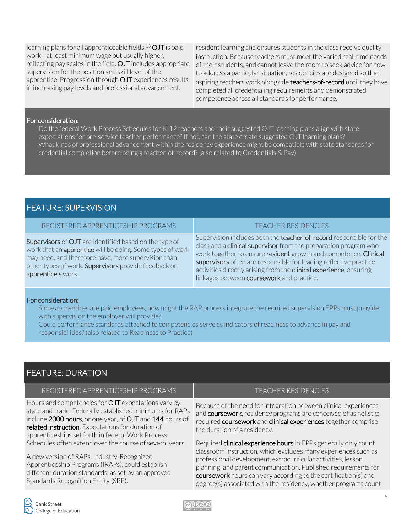learning plans for all apprenticeable fields.<sup>13</sup>  $OJT$  is paid work—at least minimum wage but usually higher, reflecting pay scales in the field. OJT includes appropriate supervision for the position and skill level of the apprentice. Progression through OJT experiences results in increasing pay levels and professional advancement.

resident learning and ensures students in the class receive quality instruction. Because teachers must meet the varied real-time needs of their students, and cannot leave the room to seek advice for how to address a particular situation, residencies are designed so that aspiring teachers work alongside teachers-of-record until they have completed all credentialing requirements and demonstrated competence across all standards for performance.

#### For consideration:

Do the federal Work Process Schedules for K-12 teachers and their suggested OJT learning plans align with state expectations for pre-service teacher performance? If not, can the state create suggested OJT learning plans? What kinds of professional advancement within the residency experience might be compatible with state standards for credential completion before being a teacher-of-record? (also related to Credentials & Pay)

#### FEATURE: SUPERVISION

#### REGISTERED APPRENTICESHIP PROGRAMS TEACHER RESIDENCIES

Supervisors of OJT are identified based on the type of work that an **apprentice** will be doing. Some types of work may need, and therefore have, more supervision than other types of work. Supervisors provide feedback on apprentice's work.

Supervision includes both the **teacher-of-record** responsible for the class and a **clinical supervisor** from the preparation program who work together to ensure resident growth and competence. Clinical supervisors often are responsible for leading reflective practice activities directly arising from the **clinical experience**, ensuring linkages between **coursework** and practice.

#### For consideration:

- Since apprentices are paid employees, how might the RAP process integrate the required supervision EPPs must provide with supervision the employer will provide?
- Could performance standards attached to competencies serve as indicators of readiness to advance in pay and responsibilities? (also related to Readiness to Practice)

#### FEATURE: DURATION

#### REGISTERED APPRENTICESHIP PROGRAMS TEACHER RESIDENCIES

Hours and competencies for OJT expectations vary by state and trade. Federally established minimums for RAPs include 2000 hours, or one year, of OJT and 144 hours of related instruction. Expectations for duration of apprenticeships set forth in federal Work Process Schedules often extend over the course of several years.

A new version of RAPs, Industry-Recognized Apprenticeship Programs (IRAPs), could establish different duration standards, as set by an approved Standards Recognition Entity (SRE).

Because of the need for integration between clinical experiences and coursework, residency programs are conceived of as holistic; required coursework and clinical experiences together comprise the duration of a residency.

Required clinical experience hours in EPPs generally only count classroom instruction, which excludes many experiences such as professional development, extracurricular activities, lesson planning, and parent communication. Published requirements for coursework hours can vary according to the certification(s) and degree(s) associated with the residency, whether programs count

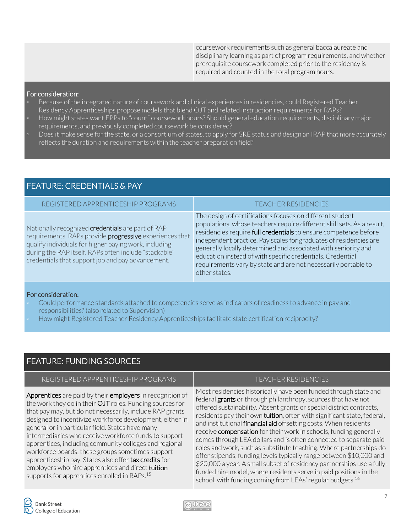coursework requirements such as general baccalaureate and disciplinary learning as part of program requirements, and whether prerequisite coursework completed prior to the residency is required and counted in the total program hours.

#### For consideration:

- Because of the integrated nature of coursework and clinical experiences in residencies, could Registered Teacher Residency Apprenticeships propose models that blend OJT and related instruction requirements for RAPs?
- How might states want EPPs to "count" coursework hours? Should general education requirements, disciplinary major requirements, and previously completed coursework be considered?
- Does it make sense for the state, or a consortium of states, to apply for SRE status and design an IRAP that more accurately reflects the duration and requirements within the teacher preparation field?

| -FEATUKE: CKEDENTIALS & PAY                                                                                                                                                                                                                                                         |                                                                                                                                                                                                                                                                                                                                                                                                                                                                                                 |  |
|-------------------------------------------------------------------------------------------------------------------------------------------------------------------------------------------------------------------------------------------------------------------------------------|-------------------------------------------------------------------------------------------------------------------------------------------------------------------------------------------------------------------------------------------------------------------------------------------------------------------------------------------------------------------------------------------------------------------------------------------------------------------------------------------------|--|
| REGISTERED APPRENTICESHIP PROGRAMS                                                                                                                                                                                                                                                  | <b>TEACHER RESIDENCIES</b>                                                                                                                                                                                                                                                                                                                                                                                                                                                                      |  |
| Nationally recognized credentials are part of RAP<br>requirements. RAPs provide progressive experiences that<br>qualify individuals for higher paying work, including<br>during the RAP itself. RAPs often include "stackable"<br>credentials that support job and pay advancement. | The design of certifications focuses on different student<br>populations, whose teachers require different skill sets. As a result,<br>residencies require full credentials to ensure competence before<br>independent practice. Pay scales for graduates of residencies are<br>generally locally determined and associated with seniority and<br>education instead of with specific credentials. Credential<br>requirements vary by state and are not necessarily portable to<br>other states. |  |

#### For consideration:

- Could performance standards attached to competencies serve as indicators of readiness to advance in pay and responsibilities? (also related to Supervision)
- How might Registered Teacher Residency Apprenticeships facilitate state certification reciprocity?

#### FEATURE: FUNDING SOURCES

FEATURE: CREDENTIALS & PAY

#### REGISTERED APPRENTICESHIP PROGRAMS TEACHER RESIDENCIES

Apprentices are paid by their employers in recognition of the work they do in their OJT roles. Funding sources for that pay may, but do not necessarily, include RAP grants designed to incentivize workforce development, either in general or in particular field. States have many intermediaries who receive workforce funds to support apprentices, including community colleges and regional workforce boards; these groups sometimes support apprenticeship pay. States also offer tax credits for employers who hire apprentices and direct **tuition** supports for apprentices enrolled in RAPs.<sup>15</sup>

Most residencies historically have been funded through state and federal grants or through philanthropy, sources that have not offered sustainability. Absent grants or special district contracts, residents pay their own **tuition**, often with significant state, federal, and institutional **financial aid** offsetting costs. When residents receive **compensation** for their work in schools, funding generally comes through LEA dollars and is often connected to separate paid roles and work, such as substitute teaching. Where partnerships do offer stipends, funding levels typically range between \$10,000 and \$20,000 a year. A small subset of residency partnerships use a fullyfunded hire model, where residents serve in paid positions in the school, with funding coming from LEAs' regular budgets.<sup>16</sup>

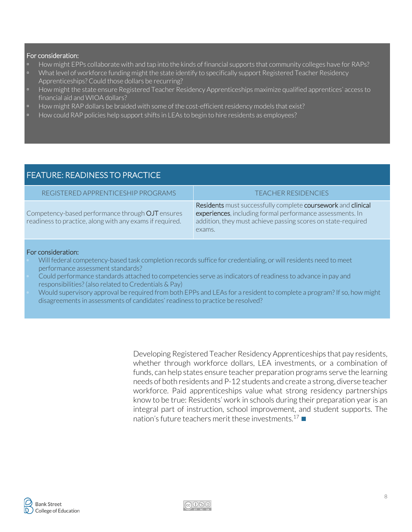#### For consideration:

- How might EPPs collaborate with and tap into the kinds of financial supports that community colleges have for RAPs?
- What level of workforce funding might the state identify to specifically support Registered Teacher Residency Apprenticeships? Could those dollars be recurring?
- How might the state ensure Registered Teacher Residency Apprenticeships maximize qualified apprentices' access to financial aid and WIOA dollars?
- How might RAP dollars be braided with some of the cost-efficient residency models that exist?
- How could RAP policies help support shifts in LEAs to begin to hire residents as employees?

#### FEATURE: READINESS TO PRACTICE REGISTERED APPRENTICESHIP PROGRAMS TEACHER RESIDENCIES Competency-based performance through OJT ensures readiness to practice, along with any exams if required. Residents must successfully complete coursework and clinical experiences, including formal performance assessments. In addition, they must achieve passing scores on state-required exams.

#### For consideration:

- Will federal competency-based task completion records suffice for credentialing, or will residents need to meet performance assessment standards?
- Could performance standards attached to competencies serve as indicators of readiness to advance in pay and responsibilities? (also related to Credentials & Pay)
- Would supervisory approval be required from both EPPs and LEAs for a resident to complete a program? If so, how might disagreements in assessments of candidates' readiness to practice be resolved?

Developing Registered Teacher Residency Apprenticeships that pay residents, whether through workforce dollars, LEA investments, or a combination of funds, can help states ensure teacher preparation programs serve the learning needs of both residents and P-12 students and create a strong, diverse teacher workforce. Paid apprenticeships value what strong residency partnerships know to be true: Residents' work in schools during their preparation year is an integral part of instruction, school improvement, and student supports. The nation's future teachers merit these investments.<sup>17</sup>